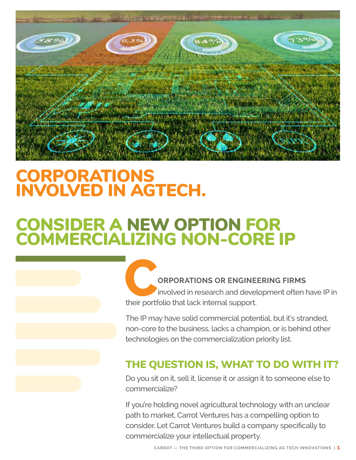

# CORPORATIONS INVOLVED IN AGTECH.

# CONSIDER A NEW OPTION FOR COMMERCIALIZING NON-CORE IP

**CREDITIONS OR ENGINEERING FIRMS**<br>involved in research and development often h<br>their portfolio that lack internal support. involved in research and development often have IP in their portfolio that lack internal support.

The IP may have solid commercial potential, but it's stranded, non-core to the business, lacks a champion, or is behind other technologies on the commercialization priority list.

### THE QUESTION IS, WHAT TO DO WITH IT?

Do you sit on it, sell it, license it or assign it to someone else to commercialize?

If you're holding novel agricultural technology with an unclear path to market, Carrot Ventures has a compelling option to consider. Let Carrot Ventures build a company specifically to commercialize your intellectual property.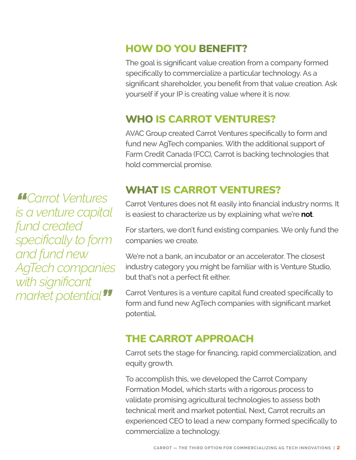*"Carrot Ventures is a venture capital fund created specifically to form and fund new AgTech companies with significant market potential"*

## HOW DO YOU BENEFIT?

The goal is significant value creation from a company formed specifically to commercialize a particular technology. As a significant shareholder, you benefit from that value creation. Ask yourself if your IP is creating value where it is now.

## WHO IS CARROT VENTURES?

AVAC Group created Carrot Ventures specifically to form and fund new AgTech companies. With the additional support of Farm Credit Canada (FCC), Carrot is backing technologies that hold commercial promise.

## WHAT IS CARROT VENTURES?

Carrot Ventures does not fit easily into financial industry norms. It is easiest to characterize us by explaining what we're **not**.

For starters, we don't fund existing companies. We only fund the companies we create.

We're not a bank, an incubator or an accelerator. The closest industry category you might be familiar with is Venture Studio, but that's not a perfect fit either.

Carrot Ventures is a venture capital fund created specifically to form and fund new AgTech companies with significant market potential.

# THE CARROT APPROACH

Carrot sets the stage for financing, rapid commercialization, and equity growth.

To accomplish this, we developed the Carrot Company Formation Model, which starts with a rigorous process to validate promising agricultural technologies to assess both technical merit and market potential. Next, Carrot recruits an experienced CEO to lead a new company formed specifically to commercialize a technology.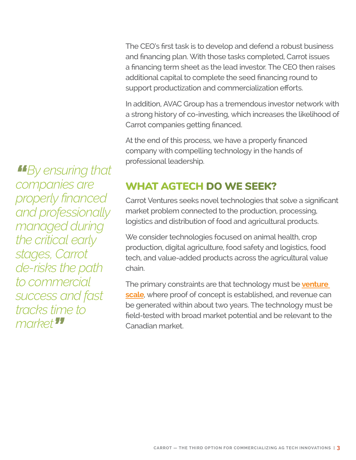The CEO's first task is to develop and defend a robust business and financing plan. With those tasks completed, Carrot issues a financing term sheet as the lead investor. The CEO then raises additional capital to complete the seed financing round to support productization and commercialization efforts.

In addition, AVAC Group has a tremendous investor network with a strong history of co-investing, which increases the likelihood of Carrot companies getting financed.

At the end of this process, we have a properly financed company with compelling technology in the hands of professional leadership.

### WHAT AGTECH DO WE SEEK?

Carrot Ventures seeks novel technologies that solve a significant market problem connected to the production, processing, logistics and distribution of food and agricultural products.

We consider technologies focused on animal health, crop production, digital agriculture, food safety and logistics, food tech, and value-added products across the agricultural value chain.

The primary constraints are that technology must be **[venture](https://carrotventures.com/is-your-agtech-ip-venture-scale/)  [scale](https://carrotventures.com/is-your-agtech-ip-venture-scale/)**, where proof of concept is established, and revenue can be generated within about two years. The technology must be field-tested with broad market potential and be relevant to the Canadian market.

*"By ensuring that companies are properly financed and professionally managed during the critical early stages, Carrot de-risks the path to commercial success and fast tracks time to market"*